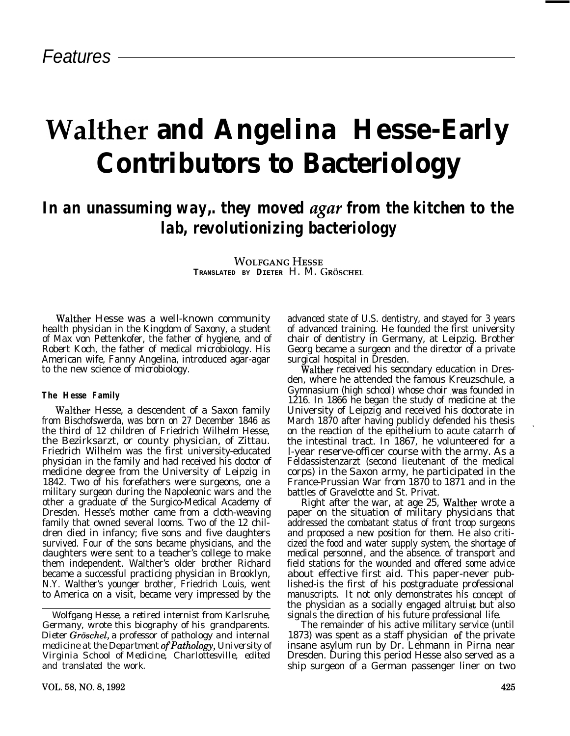# **Walther and Angelina Hesse-Early Contributors to Bacteriology**

# *In an unassuming way,. they moved agar from the kitchen to the lab, revolutionizing bacteriology*

**WOLFGANG HESSE**  $T$ **RANSLATED BY DIETER H. M. GRÖSCHEL** 

Walther Hesse was a well-known community health physician in the Kingdom of Saxony, a student of Max von Pettenkofer, the father of hygiene, and of Robert Koch, the father of medical microbiology. His American wife, Fanny Angelina, introduced agar-agar to the new science of microbiology.

# **The Hesse Family**

Walther Hesse, a descendent of a Saxon family from Bischofswerda, was born on 27 December 1846 as the third of 12 children of Friedrich Wilhelm Hesse, the Bezirksarzt, or county physician, of Zittau. Friedrich Wilhelm was the first university-educated physician in the family and had received his doctor of medicine degree from the University of Leipzig in 1842. Two of his forefathers were surgeons, one a military surgeon during the Napoleonic wars and the other a graduate of the Surgico-Medical Academy of Dresden. Hesse's mother came from a cloth-weaving family that owned several looms. Two of the 12 children died in infancy; five sons and five daughters survived. Four of the sons became physicians, and the daughters were sent to a teacher's college to make them independent. Walther's older brother Richard became a successful practicing physician in Brooklyn, N.Y. Walther's younger brother, Friedrich Louis, went to America on a visit, became very impressed by the

*Wolfgang Hesse, a retired internist from Karlsruhe, Germany, wrote this biography of his grandparents.* Dieter Gröschel, a professor of pathology and internal *medicine at the Department ofPathology, University of Virginia School of Medicine, Charlottesville, edited and translated the work.*

advanced state of U.S. dentistry, and stayed for 3 years of advanced training. He founded the first university chair of dentistry in Germany, at Leipzig. Brother Georg became a surgeon and the director of a private surgical hospital in Dresden.

Walther received his secondary education in Dresden, where he attended the famous Kreuzschule, a Gymnasium (high school) whose choir ,was founded in 1216. In 1866 he began the study of medicine at the University of Leipzig and received his doctorate in March 1870 after having publicly defended his thesis on the reaction of the epithelium to acute catarrh of ' the intestinal tract. In 1867, he volunteered for a l-year reserve-officer course with the army. As a Feldassistenzarzt (second lieutenant of the medical corps) in the Saxon army, he participated in the France-Prussian War from 1870 to 1871 and in the battles of Gravelotte and St. Privat.

Right after the war, at age 25, Walther wrote a paper on the situation of military physicians that addressed the combatant status of front troop surgeons and proposed a new position for them. He also criticized the food and water supply system, the shortage of medical personnel, and the absence. of transport and field stations for the wounded and offered some advice about effective first aid. This paper-never published-is the first of his postgraduate professional manuscripts. It not only demonstrates his concept of the physician as a socially engaged altruist but also signals the direction of his future professional life.

The remainder of his active military service (until  $1873$ ) was spent as a staff physician of the private insane asylum run by Dr. Lehmann in Pirna near Dresden. During this period Hesse also served as a ship surgeon of a German passenger liner on two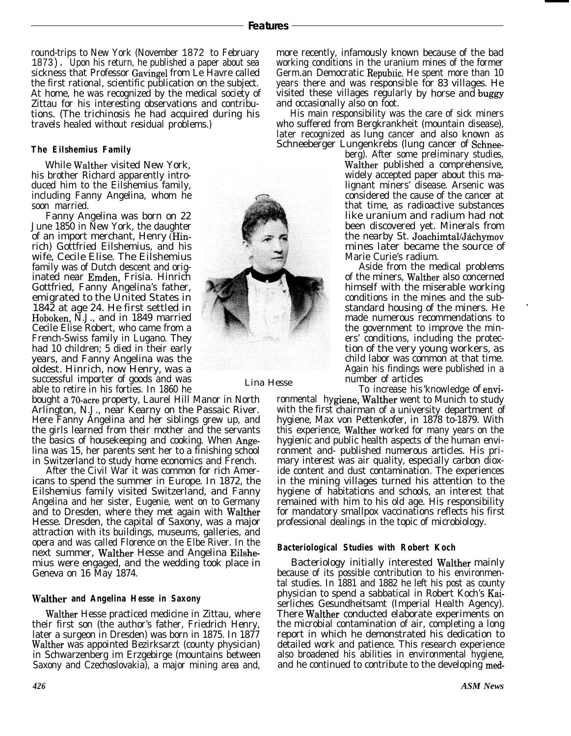round-trips to New York (November 1872 to February 1873). Upon his return, he published a paper about sea sickness that Professor Gavingel from Le Havre called the first rational, scientific publication on the subject. At home, he was recognized by the medical society of Zittau for his interesting observations and contributions. (The trichinosis he had acquired during his travels healed without residual problems.)

# **The Eilshemius Family**

While Walther visited New York, his brother Richard apparently introduced him to the Eilshemius family, including Fanny Angelina, whom he soon married.

Fanny Angelina was born on 22 June 1850 in New York, the daughter of an import merchant, Henry (Hinrich) Gottfried Eilshemius, and his wife, Cecile Elise. The Eilshemius family was of Dutch descent and originated near Emden, Frisia. Hinrich Gottfried, Fanny Angelina's father, emigrated to the United States in 1842 at age 24. He first settled in Hoboken, N.J., and in 1849 married Cecile Elise Robert, who came from a French-Swiss family in Lugano. They had 10 children; 5 died in their early years, and Fanny Angelina was the oldest. Hinrich, now Henry, was a successful importer of goods and was able to retire in his forties. In 1860 he

bought a 70.acre property, Laurel Hill Manor in North Arlington, N.J., near Kearny on the Passaic River. Here Fanny Angelina and her siblings grew up, and the girls learned from their mother and the servants the basics of housekeeping and cooking. When Angelina was 15, her parents sent her to a finishing school in Switzerland to study home economics and French.

After the Civil War it was common for rich Americans to spend the summer in Europe. In 1872, the Eilshemius family visited Switzerland, and Fanny Angelina and her sister, Eugenie, went on to Germany and to Dresden, where they met again with Walther Hesse. Dresden, the capital of Saxony, was a major attraction with its buildings, museums, galleries, and opera and was called Florence on the Elbe River. In the next summer, Walther Hesse and Angelina Eilshemius were engaged, and the wedding took place in Geneva on 16 May 1874.

# **Walther and Angelina Hesse in Saxony**

Walther Hesse practiced medicine in Zittau, where their first son (the author's father, Friedrich Henry, later a surgeon in Dresden) was born in 1875. In 1877 Walther was appointed Bezirksarzt (county physician) in Schwarzenberg im Erzgebirge (mountains between Saxony and Czechoslovakia), a major mining area and,



#### *Lina Hesse*

more recently, infamously known because of the bad working conditions in the uranium mines of the former Germ.an Democratic Repubiic. He spent more than 10 years there and was responsible for 83 villages. He visited these villages regularly by horse and buggy and occasionally also on foot.

His main responsibility was the care of sick miners who suffered from Bergkrankheit (mountain disease), later recognized as lung cancer and also known as Schneeberger Lungenkrebs (lung cancer of Schnee-

berg). After some preliminary studies, Walther published a comprehensive, widely accepted paper about this malignant miners' disease. Arsenic was considered the cause of the cancer at that time, as radioactive substances like uranium and radium had not been discovered yet. Minerals from the nearby St. Joachimtal/Jachymov mines later became the source of Marie Curie's radium.

Aside from the medical problems of the miners, Walther also concerned himself with the miserable working conditions in the mines and the substandard housing of the miners. He made numerous recommendations to the government to improve the miners' conditions, including the protection of the very young workers, as child labor was common at that time. Again his findings were published in a number of articles

ronmental hygiene, Walther went to Munich to study with the first chairman of a university department of To increase his 'knowledge of envihygiene, Max von Pettenkofer, in 1878 to-1879. With this experience, Walther worked for many years on the hygienic and public health aspects of the human environment and- published numerous articles. His primary interest was air quality, especially carbon dioxide content and dust contamination. The experiences in the mining villages turned his attention to the hygiene of habitations and schools, an interest that remained with him to his old age. His responsibility for mandatory smallpox vaccinations reflects his first professional dealings in the topic of microbiology.

# **Bacteriological Studies with Robert Koch**

Bacteriology initially interested Walther mainly because of its possible contribution to his environmental studies. In 1881 and 1882 he left his post as county physician to spend a sabbatical in Robert Koch's Kaiserliches Gesundheitsamt (Imperial Health Agency). There Walther conducted elaborate experiments on the microbial contamination of air, completing a long report in which he demonstrated his dedication to detailed work and patience. This research experience also broadened his abilities in environmental hygiene, and he continued to contribute to the developing med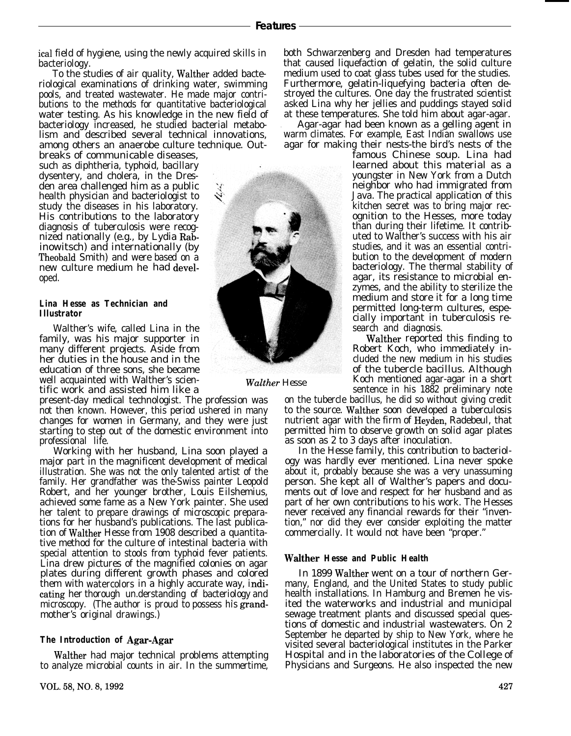ical field of hygiene, using the newly acquired skills in bacteriology.

To the studies of air quality, Walther added bacteriological examinations of drinking water, swimming pools, and treated wastewater. He made major contributions to the methods for quantitative bacteriological water testing. As his knowledge in the new field of bacteriology increased, he studied bacterial metabo- . lism and described several technical innovations, among others an anaerobe culture technique. Out-

breaks of communicable diseases, such as diphtheria, typhoid, bacillary dysentery, and cholera, in the Dresden area challenged him as a public health physician and bacteriologist to study the diseases in his laboratory. His contributions to the laboratory diagnosis of tuberculosis were recognized nationally (e.g., by Lydia Rabinowitsch) and internationally (by Theobald Smith) and were based on a new culture medium he had developed.

# **Lina Hesse as Technician and Illustrator**

Walther's wife, called Lina in the family, was his major supporter in many different projects. Aside from her duties in the house and in the education of three sons, she became well acquainted with Walther's scientific work and assisted him like a

present-day medical technologist. The profession was not then known. However, this period ushered in many changes for women in Germany, and they were just starting to step out of the domestic environment into professional life.

Working with her husband, Lina soon played a major part in the magnificent development of medical illustration. She was not the only talented artist of the family. Her grandfather was the-Swiss painter Leopold Robert, and her younger brother, Louis Eilshemius, achieved some fame as a New York painter. She used her talent to prepare drawings of microscopic preparations for her husband's publications. The last publication of Walther Hesse from 1908 described a quantitative method for the culture of intestinal bacteria with special attention to stools from typhoid fever patients. Lina drew pictures of the magnified colonies on agar plates during different growth phases and colored them with watercolors in a highly accurate way, indieating her thorough un.derstanding of bacteriology and microscopy. (The author is proud to possess his grandmother's original drawings.)

# **The Introduction of Agar-Agar**

Walther had major technical problems attempting to analyze microbial counts in air. In the summertime,

both Schwarzenberg and Dresden had temperatures that caused liquefaction of gelatin, the solid culture medium used to coat glass tubes used for the studies. Furthermore, gelatin-liquefying bacteria often destroyed the cultures. One day the frustrated scientist asked Lina why her jellies and puddings stayed solid at these temperatures. She told him about agar-agar.

Agar-agar had been known as a gelling agent in warm climates. For example, East Indian swallows use agar for making their nests-the bird's nests of the

famous Chinese soup. Lina had learned about this material as a youngster in New York from a Dutch neighbor who had immigrated from Java. The practical application of this kitchen secret was to bring major recognition to the Hesses, more today than during their lifetime. It contributed to Walther's success with his air studies, and it was an essential contribution to the development of modern bacteriology. The thermal stability of agar, its resistance to microbial enzymes, and the ability to sterilize the medium and store it for a long time permitted long-term cultures, especially important in tuberculosis research and diagnosis.

Walther reported this finding to Robert Koch, who immediately included the new medium in his studies of the tubercle bacillus. Although Koch mentioned agar-agar in a short sentence in his 1882 preliminary note

on the tubercle bacillus, he did so without giving credit to the source. Walther soon developed a tuberculosis nutrient agar with the firm of Heyden, Radebeul, that permitted him to observe growth on solid agar plates as soon as 2 to 3 days after inoculation.

In the Hesse family, this contribution to bacteriology was hardly ever mentioned. Lina never spoke about it, probably because she was a very unassuming person. She kept all of Walther's papers and documents out of love and respect for her husband and as part of her own contributions to his work. The Hesses never received any financial rewards for their "invention," nor did they ever consider exploiting the matter commercially. It would not have been "proper."

#### **Walther Hesse and Public Health**

In 1899 Walther went on a tour of northern Germany, England, and the United States to study public health installations. In Hamburg and Bremen he visited the waterworks and industrial and municipal sewage treatment plants and discussed special questions of domestic and industrial wastewaters. On 2 September he departed by ship to New York, where he visited several bacteriological institutes in the Parker Hospital and in the laboratories of the College of Physicians and Surgeons. He also inspected the new



*Walther Hesse*